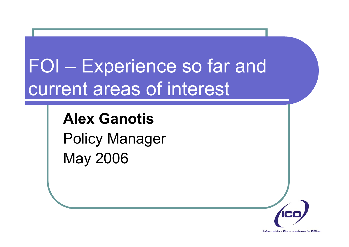# FOI – Experience so far and current areas of interest

### **Alex Ganotis**Policy Manager May 2006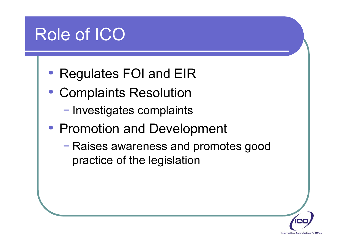## Role of ICO

- Regulates FOI and EIR
- Complaints Resolution
	- Investigates complaints
- Promotion and Development
	- Raises awareness and promotes good practice of the legislation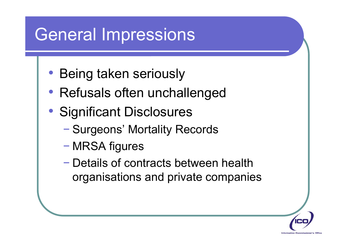### General Impressions

- Being taken seriously
- Refusals often unchallenged
- Significant Disclosures
	- Surgeons' Mortality Records
	- MRSA figures
	- Details of contracts between health organisations and private companies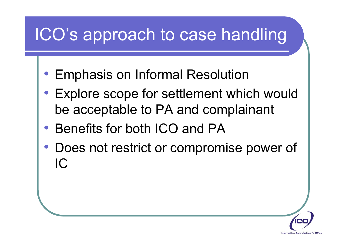## ICO's approach to case handling

- Emphasis on Informal Resolution
- Explore scope for settlement which would be acceptable to PA and complainant
- Benefits for both ICO and PA
- Does not restrict or compromise power of IC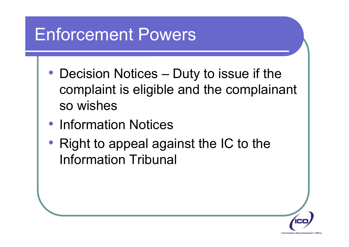## Enforcement Powers

- Decision Notices Duty to issue if the complaint is eligible and the complainant so wishes
- Information Notices
- Right to appeal against the IC to the Information Tribunal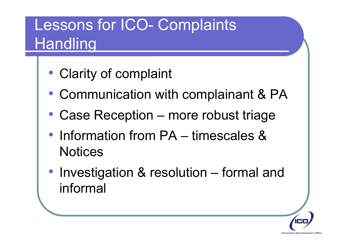### Lessons for ICO- Complaints **Handling**

- Clarity of complaint
- Communication with complainant & PA
- Case Reception more robust triage
- Information from PA timescales & **Notices**
- Investigation & resolution formal and informal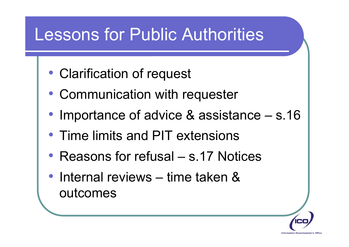### Lessons for Public Authorities

- Clarification of request
- Communication with requester
- Importance of advice & assistance s.16
- Time limits and PIT extensions
- Reasons for refusal s.17 Notices
- Internal reviews time taken & outcomes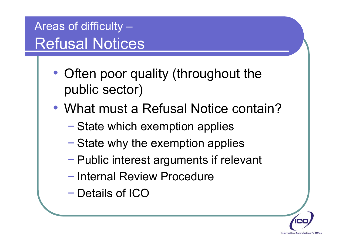Areas of difficulty – Refusal Notices

- Often poor quality (throughout the public sector)
- What must a Refusal Notice contain?
	- State which exemption applies
	- State why the exemption applies
	- Public interest arguments if relevant
	- Internal Review Procedure
	- −– Details of ICO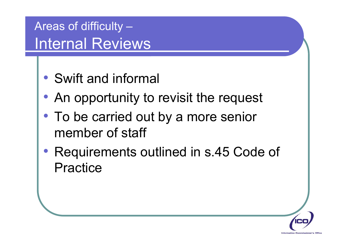Areas of difficulty – Internal Reviews

- Swift and informal
- An opportunity to revisit the request
- To be carried out by a more senior member of staff
- Requirements outlined in s.45 Code of Practice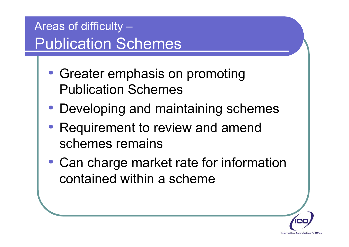Areas of difficulty – Publication Schemes

- Greater emphasis on promoting Publication Schemes
- Developing and maintaining schemes
- Requirement to review and amend schemes remains
- Can charge market rate for information contained within a scheme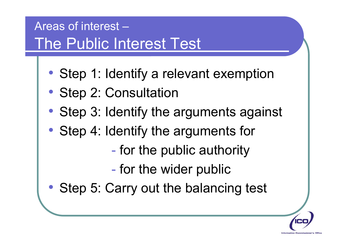### Areas of interest –The Public Interest Test

- Step 1: Identify a relevant exemption
- Step 2: Consultation
- Step 3: Identify the arguments against
- Step 4: Identify the arguments for
	- $\mathcal{L}_{\mathcal{A}}$ - for the public authority
	- $\mathcal{L}_{\mathcal{A}}$ - for the wider public
- Step 5: Carry out the balancing test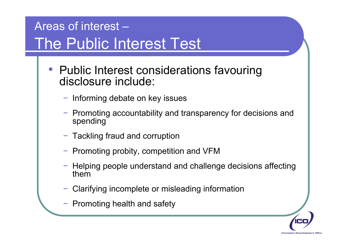### Areas of interest –The Public Interest Test

- Public Interest considerations favouring disclosure include:
	- − Informing debate on key issues
	- − Promoting accountability and transparency for decisions and spending
	- − Tackling fraud and corruption
	- − Promoting probity, competition and VFM
	- − Helping people understand and challenge decisions affecting them
	- Clarifying incomplete or misleading information
	- − Promoting health and safety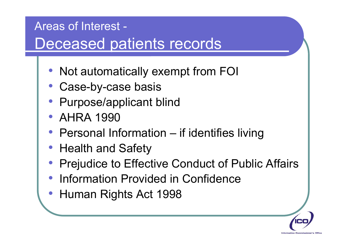#### Areas of Interest - Deceased patients records

- Not automatically exempt from FOI
- Case-by-case basis
- Purpose/applicant blind
- AHRA 1990
- Personal Information if identifies living
- Health and Safety
- Prejudice to Effective Conduct of Public Affairs
- Information Provided in Confidence
- Human Rights Act 1998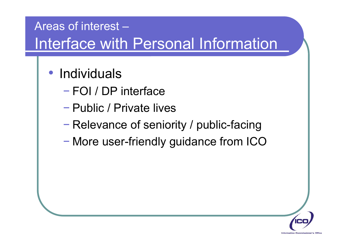#### Areas of interest –Interface with Personal Information

#### • Individuals

- −FOI / DP interface
- Public / Private lives
- Relevance of seniority / public-facing
- More user-friendly guidance from ICO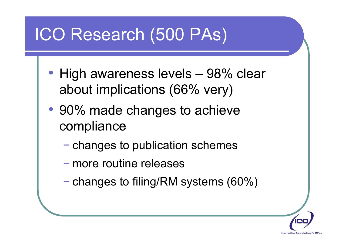## ICO Research (500 PAs)

- High awareness levels 98% clear about implications (66% very)
- 90% made changes to achieve compliance
	- changes to publication schemes
	- more routine releases
	- $-$  changes to filing/RM systems (60%)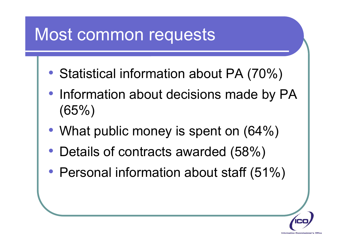## Most common requests

- Statistical information about PA (70%)
- Information about decisions made by PA (65%)
- What public money is spent on (64%)
- Details of contracts awarded (58%)
- Personal information about staff (51%)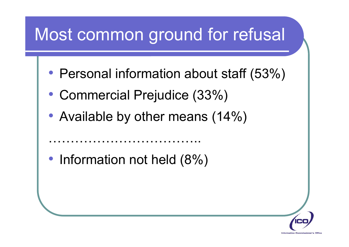## Most common ground for refusal

- Personal information about staff (53%)
- Commercial Prejudice (33%)
- Available by other means (14%)

• Information not held (8%)

……………………………..